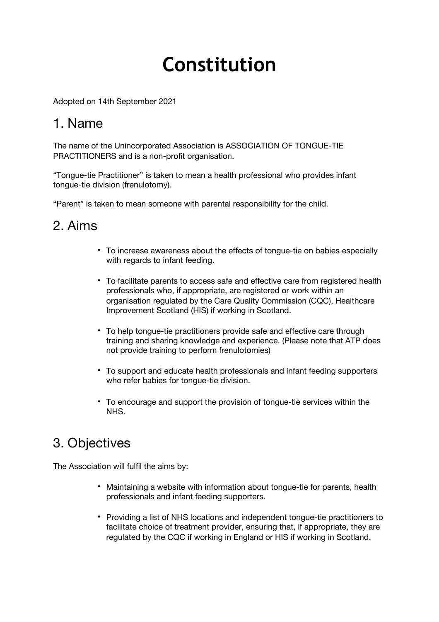# **Constitution**

Adopted on 14th September 2021

### 1. Name

The name of the Unincorporated Association is ASSOCIATION OF TONGUE-TIE PRACTITIONERS and is a non-profit organisation.

"Tongue-tie Practitioner" is taken to mean a health professional who provides infant tongue-tie division (frenulotomy).

"Parent" is taken to mean someone with parental responsibility for the child.

### 2. Aims

- To increase awareness about the effects of tongue-tie on babies especially with regards to infant feeding.
- To facilitate parents to access safe and effective care from registered health professionals who, if appropriate, are registered or work within an organisation regulated by the Care Quality Commission (CQC), Healthcare Improvement Scotland (HIS) if working in Scotland.
- To help tongue-tie practitioners provide safe and effective care through training and sharing knowledge and experience. (Please note that ATP does not provide training to perform frenulotomies)
- To support and educate health professionals and infant feeding supporters who refer babies for tongue-tie division.
- To encourage and support the provision of tongue-tie services within the NHS.

# 3. Objectives

The Association will fulfil the aims by:

- Maintaining a website with information about tongue-tie for parents, health professionals and infant feeding supporters.
- Providing a list of NHS locations and independent tongue-tie practitioners to facilitate choice of treatment provider, ensuring that, if appropriate, they are regulated by the CQC if working in England or HIS if working in Scotland.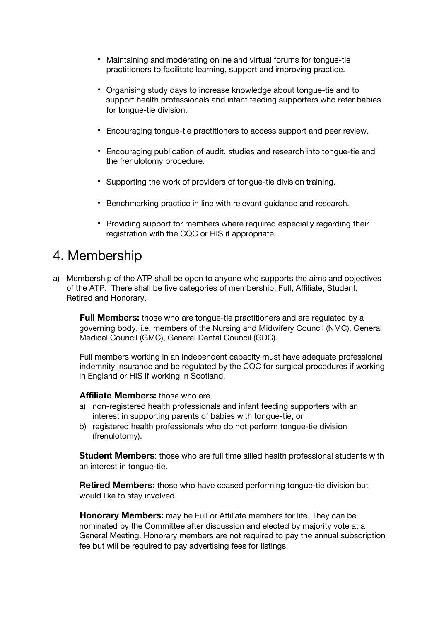- Maintaining and moderating online and virtual forums for tongue-tie practitioners to facilitate learning, support and improving practice.
- Organising study days to increase knowledge about tongue-tie and to support health professionals and infant feeding supporters who refer babies for tongue-tie division.
- Encouraging tongue-tie practitioners to access support and peer review.
- Encouraging publication of audit, studies and research into tongue-tie and the frenulotomy procedure.
- Supporting the work of providers of tongue-tie division training.
- Benchmarking practice in line with relevant guidance and research.
- Providing support for members where required especially regarding their registration with the CQC or HIS if appropriate.

### 4. Membership

a) Membership of the ATP shall be open to anyone who supports the aims and objectives of the ATP. There shall be five categories of membership; Full, Affiliate, Student, Retired and Honorary.

**Full Members:** those who are tongue-tie practitioners and are regulated by a governing body, i.e. members of the Nursing and Midwifery Council (NMC), General Medical Council (GMC), General Dental Council (GDC).

Full members working in an independent capacity must have adequate professional indemnity insurance and be regulated by the CQC for surgical procedures if working in England or HIS if working in Scotland.

#### **Affiliate Members:** those who are

- a) non-registered health professionals and infant feeding supporters with an interest in supporting parents of babies with tongue-tie, or
- b) registered health professionals who do not perform tongue-tie division (frenulotomy).

**Student Members**: those who are full time allied health professional students with an interest in tongue-tie.

**Retired Members:** those who have ceased performing tongue-tie division but would like to stay involved.

**Honorary Members:** may be Full or Affiliate members for life. They can be nominated by the Committee after discussion and elected by majority vote at a General Meeting. Honorary members are not required to pay the annual subscription fee but will be required to pay advertising fees for listings.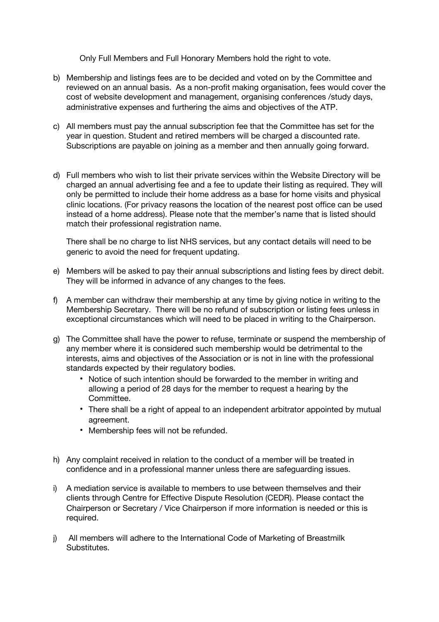Only Full Members and Full Honorary Members hold the right to vote.

- b) Membership and listings fees are to be decided and voted on by the Committee and reviewed on an annual basis. As a non-profit making organisation, fees would cover the cost of website development and management, organising conferences /study days, administrative expenses and furthering the aims and objectives of the ATP.
- c) All members must pay the annual subscription fee that the Committee has set for the year in question. Student and retired members will be charged a discounted rate. Subscriptions are payable on joining as a member and then annually going forward.
- d) Full members who wish to list their private services within the Website Directory will be charged an annual advertising fee and a fee to update their listing as required. They will only be permitted to include their home address as a base for home visits and physical clinic locations. (For privacy reasons the location of the nearest post office can be used instead of a home address). Please note that the member's name that is listed should match their professional registration name.

There shall be no charge to list NHS services, but any contact details will need to be generic to avoid the need for frequent updating.

- e) Members will be asked to pay their annual subscriptions and listing fees by direct debit. They will be informed in advance of any changes to the fees.
- f) A member can withdraw their membership at any time by giving notice in writing to the Membership Secretary. There will be no refund of subscription or listing fees unless in exceptional circumstances which will need to be placed in writing to the Chairperson.
- g) The Committee shall have the power to refuse, terminate or suspend the membership of any member where it is considered such membership would be detrimental to the interests, aims and objectives of the Association or is not in line with the professional standards expected by their regulatory bodies.
	- Notice of such intention should be forwarded to the member in writing and allowing a period of 28 days for the member to request a hearing by the Committee.
	- There shall be a right of appeal to an independent arbitrator appointed by mutual agreement.
	- Membership fees will not be refunded.
- h) Any complaint received in relation to the conduct of a member will be treated in confidence and in a professional manner unless there are safeguarding issues.
- i) A mediation service is available to members to use between themselves and their clients through Centre for Effective Dispute Resolution (CEDR). Please contact the Chairperson or Secretary / Vice Chairperson if more information is needed or this is required.
- j) All members will adhere to the International Code of Marketing of Breastmilk Substitutes.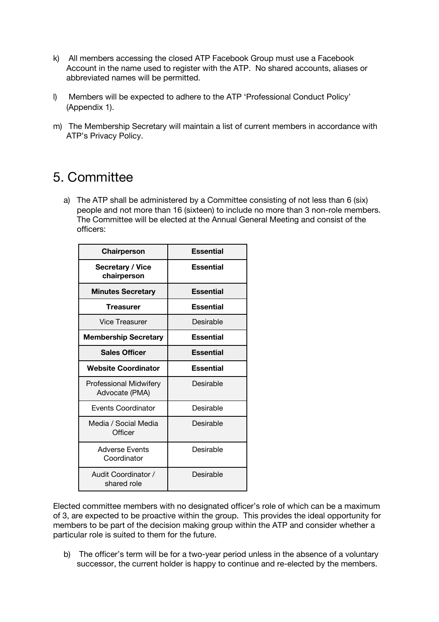- k) All members accessing the closed ATP Facebook Group must use a Facebook Account in the name used to register with the ATP. No shared accounts, aliases or abbreviated names will be permitted.
- l) Members will be expected to adhere to the ATP 'Professional Conduct Policy' (Appendix 1).
- m) The Membership Secretary will maintain a list of current members in accordance with ATP's Privacy Policy.

### 5. Committee

a) The ATP shall be administered by a Committee consisting of not less than 6 (six) people and not more than 16 (sixteen) to include no more than 3 non-role members. The Committee will be elected at the Annual General Meeting and consist of the officers:

| Chairperson                                     | <b>Essential</b> |
|-------------------------------------------------|------------------|
| <b>Secretary / Vice</b><br>chairperson          | <b>Essential</b> |
| <b>Minutes Secretary</b>                        | <b>Essential</b> |
| <b>Treasurer</b>                                | <b>Essential</b> |
| Vice Treasurer                                  | Desirable        |
| <b>Membership Secretary</b>                     | <b>Essential</b> |
| <b>Sales Officer</b>                            | <b>Essential</b> |
| Website Coordinator                             | <b>Essential</b> |
| <b>Professional Midwifery</b><br>Advocate (PMA) | Desirable        |
| Events Coordinator                              | Desirable        |
| Media / Social Media<br>Officer                 | Desirable        |
| <b>Adverse Events</b><br>Coordinator            | Desirable        |
| Audit Coordinator /<br>shared role              | Desirable        |

Elected committee members with no designated officer's role of which can be a maximum of 3, are expected to be proactive within the group. This provides the ideal opportunity for members to be part of the decision making group within the ATP and consider whether a particular role is suited to them for the future.

b) The officer's term will be for a two-year period unless in the absence of a voluntary successor, the current holder is happy to continue and re-elected by the members.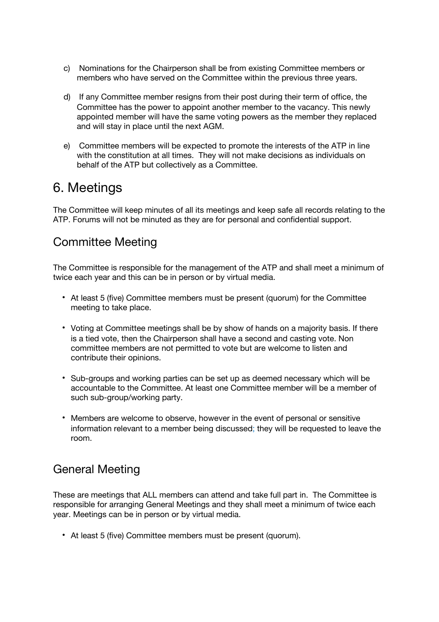- c) Nominations for the Chairperson shall be from existing Committee members or members who have served on the Committee within the previous three years.
- d) If any Committee member resigns from their post during their term of office, the Committee has the power to appoint another member to the vacancy. This newly appointed member will have the same voting powers as the member they replaced and will stay in place until the next AGM.
- e) Committee members will be expected to promote the interests of the ATP in line with the constitution at all times. They will not make decisions as individuals on behalf of the ATP but collectively as a Committee.

### 6. Meetings

The Committee will keep minutes of all its meetings and keep safe all records relating to the ATP. Forums will not be minuted as they are for personal and confidential support.

### Committee Meeting

The Committee is responsible for the management of the ATP and shall meet a minimum of twice each year and this can be in person or by virtual media.

- At least 5 (five) Committee members must be present (quorum) for the Committee meeting to take place.
- Voting at Committee meetings shall be by show of hands on a majority basis. If there is a tied vote, then the Chairperson shall have a second and casting vote. Non committee members are not permitted to vote but are welcome to listen and contribute their opinions.
- Sub-groups and working parties can be set up as deemed necessary which will be accountable to the Committee. At least one Committee member will be a member of such sub-group/working party.
- Members are welcome to observe, however in the event of personal or sensitive information relevant to a member being discussed; they will be requested to leave the room.

### General Meeting

These are meetings that ALL members can attend and take full part in. The Committee is responsible for arranging General Meetings and they shall meet a minimum of twice each year. Meetings can be in person or by virtual media.

• At least 5 (five) Committee members must be present (quorum).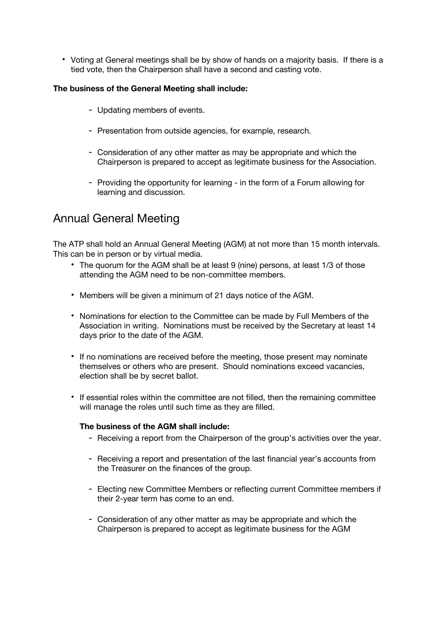• Voting at General meetings shall be by show of hands on a majority basis. If there is a tied vote, then the Chairperson shall have a second and casting vote.

#### **The business of the General Meeting shall include:**

- Updating members of events.
- Presentation from outside agencies, for example, research.
- Consideration of any other matter as may be appropriate and which the Chairperson is prepared to accept as legitimate business for the Association.
- Providing the opportunity for learning in the form of a Forum allowing for learning and discussion.

### Annual General Meeting

The ATP shall hold an Annual General Meeting (AGM) at not more than 15 month intervals. This can be in person or by virtual media.

- The quorum for the AGM shall be at least 9 (nine) persons, at least 1/3 of those attending the AGM need to be non-committee members.
- Members will be given a minimum of 21 days notice of the AGM.
- Nominations for election to the Committee can be made by Full Members of the Association in writing. Nominations must be received by the Secretary at least 14 days prior to the date of the AGM.
- If no nominations are received before the meeting, those present may nominate themselves or others who are present. Should nominations exceed vacancies, election shall be by secret ballot.
- If essential roles within the committee are not filled, then the remaining committee will manage the roles until such time as they are filled.

#### **The business of the AGM shall include:**

- Receiving a report from the Chairperson of the group's activities over the year.
- Receiving a report and presentation of the last financial year's accounts from the Treasurer on the finances of the group.
- Electing new Committee Members or reflecting current Committee members if their 2-year term has come to an end.
- Consideration of any other matter as may be appropriate and which the Chairperson is prepared to accept as legitimate business for the AGM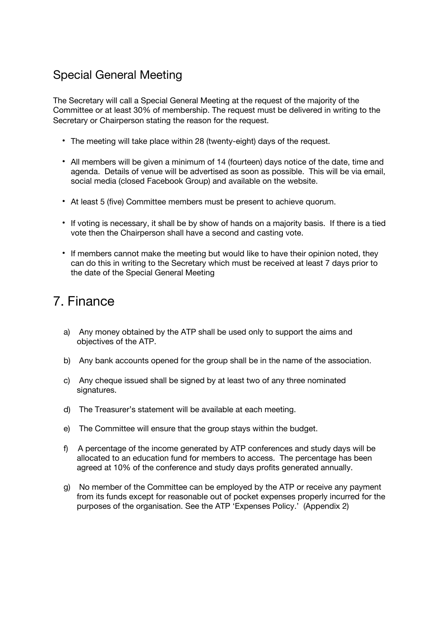### Special General Meeting

The Secretary will call a Special General Meeting at the request of the majority of the Committee or at least 30% of membership. The request must be delivered in writing to the Secretary or Chairperson stating the reason for the request.

- The meeting will take place within 28 (twenty-eight) days of the request.
- All members will be given a minimum of 14 (fourteen) days notice of the date, time and agenda. Details of venue will be advertised as soon as possible. This will be via email, social media (closed Facebook Group) and available on the website.
- At least 5 (five) Committee members must be present to achieve quorum.
- If voting is necessary, it shall be by show of hands on a majority basis. If there is a tied vote then the Chairperson shall have a second and casting vote.
- If members cannot make the meeting but would like to have their opinion noted, they can do this in writing to the Secretary which must be received at least 7 days prior to the date of the Special General Meeting

# 7. Finance

- a) Any money obtained by the ATP shall be used only to support the aims and objectives of the ATP.
- b) Any bank accounts opened for the group shall be in the name of the association.
- c) Any cheque issued shall be signed by at least two of any three nominated signatures.
- d) The Treasurer's statement will be available at each meeting.
- e) The Committee will ensure that the group stays within the budget.
- f) A percentage of the income generated by ATP conferences and study days will be allocated to an education fund for members to access. The percentage has been agreed at 10% of the conference and study days profits generated annually.
- g) No member of the Committee can be employed by the ATP or receive any payment from its funds except for reasonable out of pocket expenses properly incurred for the purposes of the organisation. See the ATP 'Expenses Policy.' (Appendix 2)